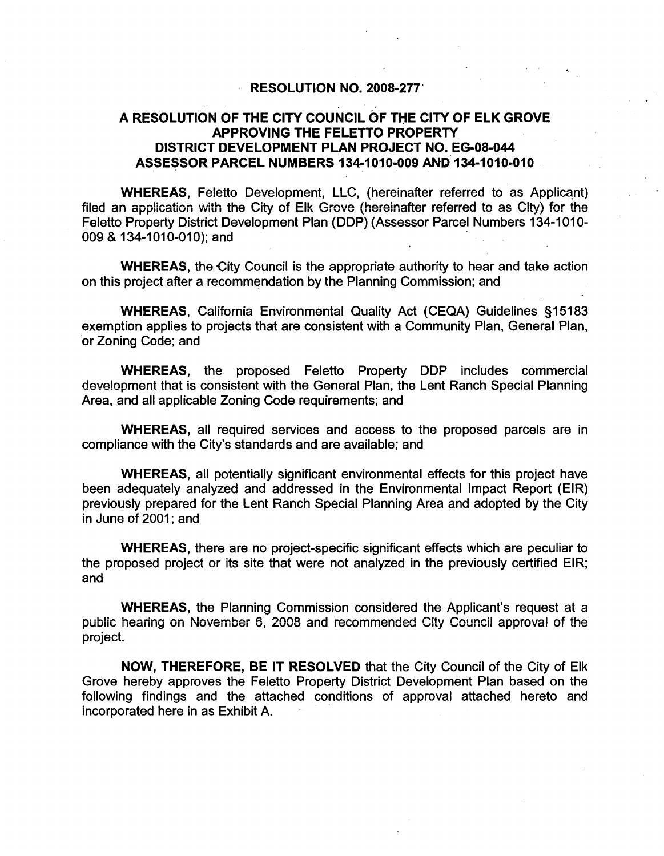### RESOLUTION NO. 200S-277'

## A RESOLUTION OF THE CITY COUNCIL OF THE CITY OF ELK GROVE APPROVING THE FELETTO PROPERTY DISTRICT DEVELOPMENT PLAN PROJECT NO. EG-OS-044 ASSESSOR PARCEL NUMBERS 134-1010-009 AND 134-1010-010

WHEREAS, Feletto Development, LLC, (hereinafter referred to as Applicant) filed an application with the City of Elk Grove (hereinafter referred to as City) for the Feletto Property District Development Plan (DDP) (Assessor Parcel Numbers 134-1010-009 & 134-1010-010); and

WHEREAS, the City Council is the appropriate authority to hear and take action on this project after a recommendation by the Planning Commission; and

WHEREAS, California Environmental Quality Act (CEQA) Guidelines §15183 exemption applies to projects that are consistent with a Community Plan, General Plan, or Zoning Code; and

WHEREAS, the proposed Feletto Property DDP includes commercial development that is consistent with the General Plan, the Lent Ranch Special Planning Area, and all applicable Zoning Code requirements; and

WHEREAS, all required services and access to the proposed parcels are in compliance with the City's standards and are available; and

WHEREAS, all potentially significant environmental effects for this project have been adequately analyzed and addressed in the Environmental Impact Report (EIR) previously prepared for the Lent Ranch Special Planning Area and adopted by the City in June of 2001; and

WHEREAS, there are no project-specific significant effects which are peculiar to the proposed project or its site that were not analyzed in the previously certified EIR; and

WHEREAS, the Planning Commission considered the Applicant's request at a public hearing on November 6, 2008 and recommended City Council approval of the project.

NOW, THEREFORE, BE IT RESOLVED that the City Council of the City of Elk Grove hereby approves the Feletto Property District Development Plan based on the following findings and the attached conditions of approval attached hereto and incorporated here in as Exhibit A. .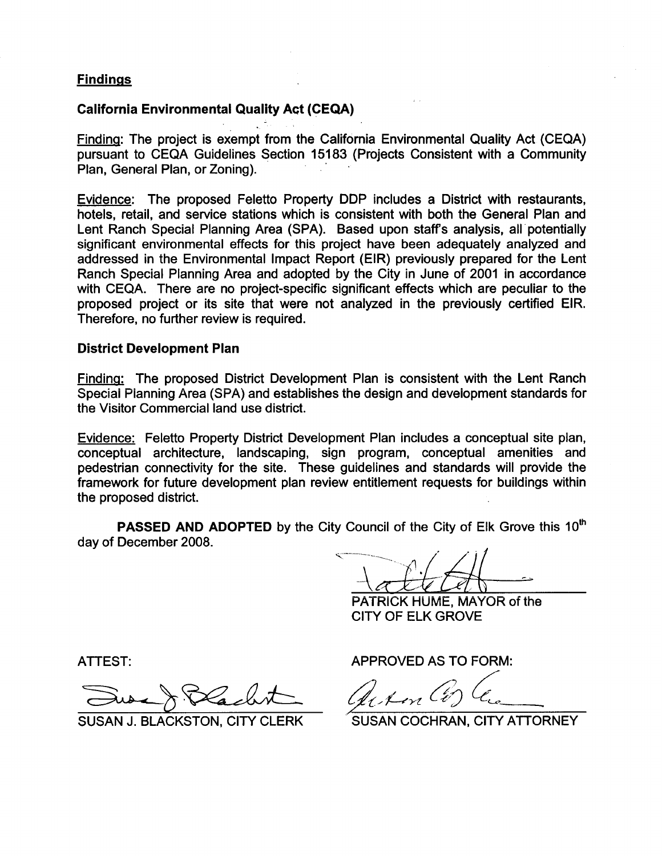## Findings

## California Environmental Quality Act (CEQA)

Finding: The project is exempt from the California Environmental Quality Act (CEQA) pursuant to CEQA Guidelines Section 15183 (Projects Consistent with a Community Plan, General Plan, or Zoning). .

Evidence: The proposed Feletto Property DDP includes a District with restaurants, hotels, retail, and service stations which is consistent with both the General Plan and Lent Ranch Special Planning Area (SPA). Based upon staffs analysis, all"potentially significant environmental effects for this project have been adequately analyzed and addressed in the Environmental Impact Report (EIR) previously prepared for the Lent Ranch Special Planning Area and adopted by the City in June of 2001 in accordance with CEQA. There are no project-specific significant effects which are peculiar to the proposed project or its site that were not analyzed in the previously certified EIR. Therefore, no further review is required.

### District Development Plan

Finding: The proposed District Development Plan is consistent with the Lent Ranch Speciai Planning Area (SPA) and establishes the design and deveiopment standards for the Visitor Commercial land use district.

Evidence: Feletto Property District Development Plan includes a conceptual site plan, conceptual architecture, landscaping, sign program, conceptual amenities and pedestrian connectivity for the site. These guidelines and standards will provide the framework for future development plan review entitlement requests for buildings within the proposed district.

PASSED AND ADOPTED by the City Council of the City of Elk Grove this 10<sup>th</sup> day of December 2008.

PATRiCK HUME, MAYOR of the CITY OF ELK GROVE

ATTEST:

ATTEST:<br>Sure & Blackst

SUSAN J. BLACKSTON, CITY CLERK

APPROVED AS TO FORM:

 $_{\ell_{\ell},\ell\text{-}\!\ell m}$  Co

SUSAN COCHRAN, CITY ATTORNEY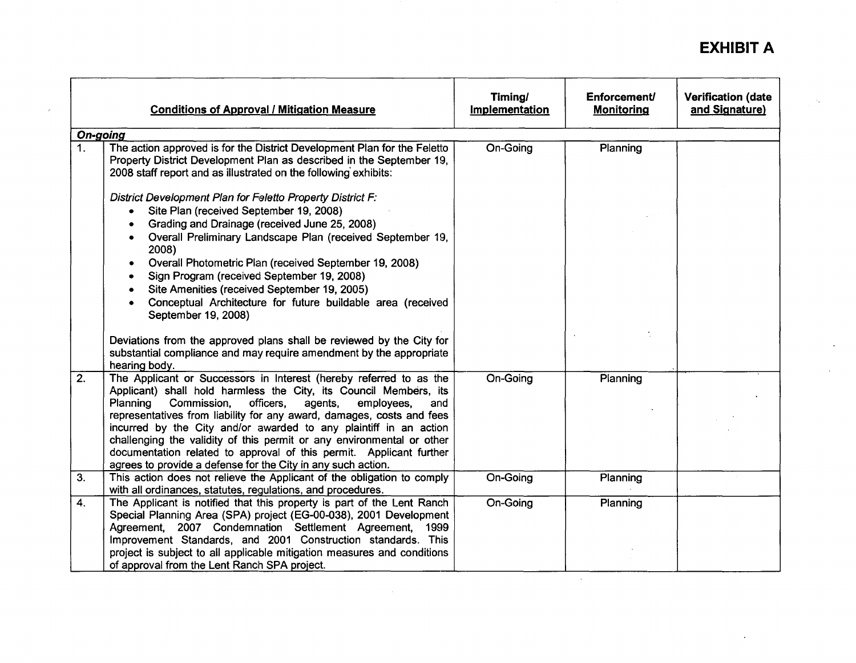# **EXHIBIT A**

|                 | <b>Conditions of Approval / Mitigation Measure</b>                                                                                                                                                                                                                                                                                                                                                                                                                                                                                                                            | Timing/<br>Implementation | Enforcement/<br><b>Monitoring</b> | <b>Verification (date</b><br>and Signature) |
|-----------------|-------------------------------------------------------------------------------------------------------------------------------------------------------------------------------------------------------------------------------------------------------------------------------------------------------------------------------------------------------------------------------------------------------------------------------------------------------------------------------------------------------------------------------------------------------------------------------|---------------------------|-----------------------------------|---------------------------------------------|
| <b>On-going</b> |                                                                                                                                                                                                                                                                                                                                                                                                                                                                                                                                                                               |                           |                                   |                                             |
| 1.              | The action approved is for the District Development Plan for the Feletto<br>Property District Development Plan as described in the September 19,<br>2008 staff report and as illustrated on the following exhibits:                                                                                                                                                                                                                                                                                                                                                           | On-Going                  | Planning                          |                                             |
|                 | District Development Plan for Feletto Property District F:<br>Site Plan (received September 19, 2008)<br>$\bullet$<br>Grading and Drainage (received June 25, 2008)<br>$\bullet$<br>Overall Preliminary Landscape Plan (received September 19,<br>$\bullet$<br>2008)                                                                                                                                                                                                                                                                                                          |                           |                                   |                                             |
|                 | Overall Photometric Plan (received September 19, 2008)<br>$\bullet$<br>Sign Program (received September 19, 2008)<br>٠<br>Site Amenities (received September 19, 2005)<br>$\bullet$<br>Conceptual Architecture for future buildable area (received<br>September 19, 2008)                                                                                                                                                                                                                                                                                                     |                           |                                   |                                             |
|                 | Deviations from the approved plans shall be reviewed by the City for<br>substantial compliance and may require amendment by the appropriate<br>hearing body.                                                                                                                                                                                                                                                                                                                                                                                                                  |                           |                                   |                                             |
| $\overline{2.}$ | The Applicant or Successors in Interest (hereby referred to as the<br>Applicant) shall hold harmless the City, its Council Members, its<br>Planning<br>agents,<br>Commission,<br>officers,<br>employees.<br>and<br>representatives from liability for any award, damages, costs and fees<br>incurred by the City and/or awarded to any plaintiff in an action<br>challenging the validity of this permit or any environmental or other<br>documentation related to approval of this permit. Applicant further<br>agrees to provide a defense for the City in any such action. | On-Going                  | Planning                          |                                             |
| 3.              | This action does not relieve the Applicant of the obligation to comply<br>with all ordinances, statutes, regulations, and procedures.                                                                                                                                                                                                                                                                                                                                                                                                                                         | On-Going                  | Planning                          |                                             |
| 4.              | The Applicant is notified that this property is part of the Lent Ranch<br>Special Planning Area (SPA) project (EG-00-038), 2001 Development<br>Agreement, 2007 Condemnation Settlement Agreement, 1999<br>Improvement Standards, and 2001 Construction standards. This                                                                                                                                                                                                                                                                                                        | On-Going                  | Planning                          |                                             |
|                 | project is subject to all applicable mitigation measures and conditions<br>of approval from the Lent Ranch SPA project.                                                                                                                                                                                                                                                                                                                                                                                                                                                       |                           |                                   |                                             |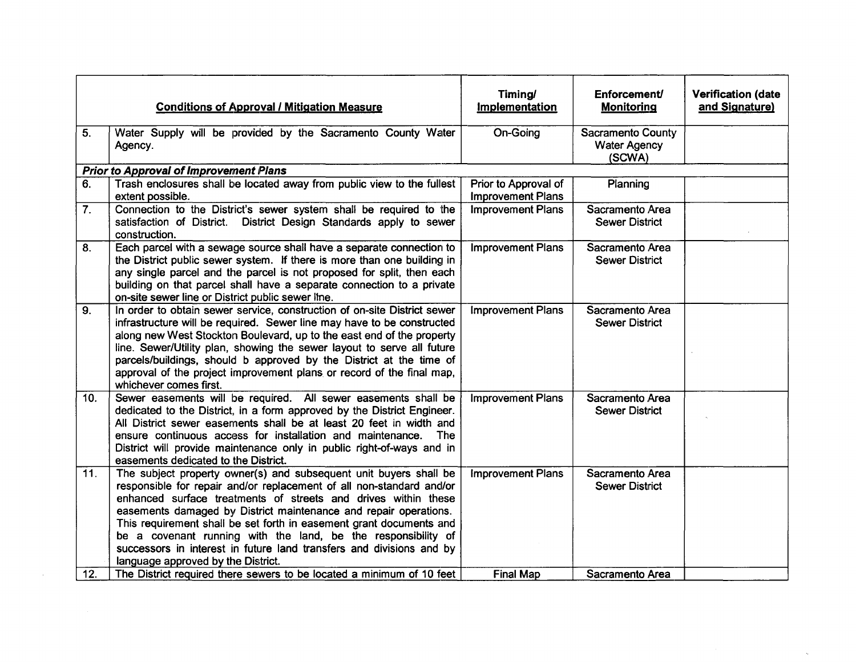|     | <b>Conditions of Approval / Mitigation Measure</b>                                                                                                                                                                                                                                                                                                                                                                                                                                                                                    | Timing/<br><b>Implementation</b>                 | <b>Enforcement/</b><br><b>Monitoring</b>           | <b>Verification (date</b><br>and Signature) |
|-----|---------------------------------------------------------------------------------------------------------------------------------------------------------------------------------------------------------------------------------------------------------------------------------------------------------------------------------------------------------------------------------------------------------------------------------------------------------------------------------------------------------------------------------------|--------------------------------------------------|----------------------------------------------------|---------------------------------------------|
| 5.  | Water Supply will be provided by the Sacramento County Water<br>Agency.                                                                                                                                                                                                                                                                                                                                                                                                                                                               | On-Going                                         | Sacramento County<br><b>Water Agency</b><br>(SCWA) |                                             |
|     | <b>Prior to Approval of Improvement Plans</b>                                                                                                                                                                                                                                                                                                                                                                                                                                                                                         |                                                  |                                                    |                                             |
| 6.  | Trash enclosures shall be located away from public view to the fullest<br>extent possible.                                                                                                                                                                                                                                                                                                                                                                                                                                            | Prior to Approval of<br><b>Improvement Plans</b> | Planning                                           |                                             |
| 7.  | Connection to the District's sewer system shall be required to the<br>satisfaction of District. District Design Standards apply to sewer<br>construction.                                                                                                                                                                                                                                                                                                                                                                             | <b>Improvement Plans</b>                         | Sacramento Area<br><b>Sewer District</b>           |                                             |
| 8.  | Each parcel with a sewage source shall have a separate connection to<br>the District public sewer system. If there is more than one building in<br>any single parcel and the parcel is not proposed for split, then each<br>building on that parcel shall have a separate connection to a private<br>on-site sewer line or District public sewer line.                                                                                                                                                                                | <b>Improvement Plans</b>                         | Sacramento Area<br><b>Sewer District</b>           |                                             |
| 9.  | In order to obtain sewer service, construction of on-site District sewer<br>infrastructure will be required. Sewer line may have to be constructed<br>along new West Stockton Boulevard, up to the east end of the property<br>line. Sewer/Utility plan, showing the sewer layout to serve all future<br>parcels/buildings, should b approved by the District at the time of<br>approval of the project improvement plans or record of the final map,<br>whichever comes first.                                                       | <b>Improvement Plans</b>                         | Sacramento Area<br><b>Sewer District</b>           |                                             |
| 10. | Sewer easements will be required. All sewer easements shall be<br>dedicated to the District, in a form approved by the District Engineer.<br>All District sewer easements shall be at least 20 feet in width and<br>ensure continuous access for installation and maintenance. The<br>District will provide maintenance only in public right-of-ways and in<br>easements dedicated to the District.                                                                                                                                   | <b>Improvement Plans</b>                         | Sacramento Area<br><b>Sewer District</b>           |                                             |
| 11. | The subject property owner(s) and subsequent unit buyers shall be<br>responsible for repair and/or replacement of all non-standard and/or<br>enhanced surface treatments of streets and drives within these<br>easements damaged by District maintenance and repair operations.<br>This requirement shall be set forth in easement grant documents and<br>be a covenant running with the land, be the responsibility of<br>successors in interest in future land transfers and divisions and by<br>language approved by the District. | <b>Improvement Plans</b>                         | Sacramento Area<br><b>Sewer District</b>           |                                             |
| 12. | The District required there sewers to be located a minimum of 10 feet                                                                                                                                                                                                                                                                                                                                                                                                                                                                 | <b>Final Map</b>                                 | Sacramento Area                                    |                                             |

 $\sim 60$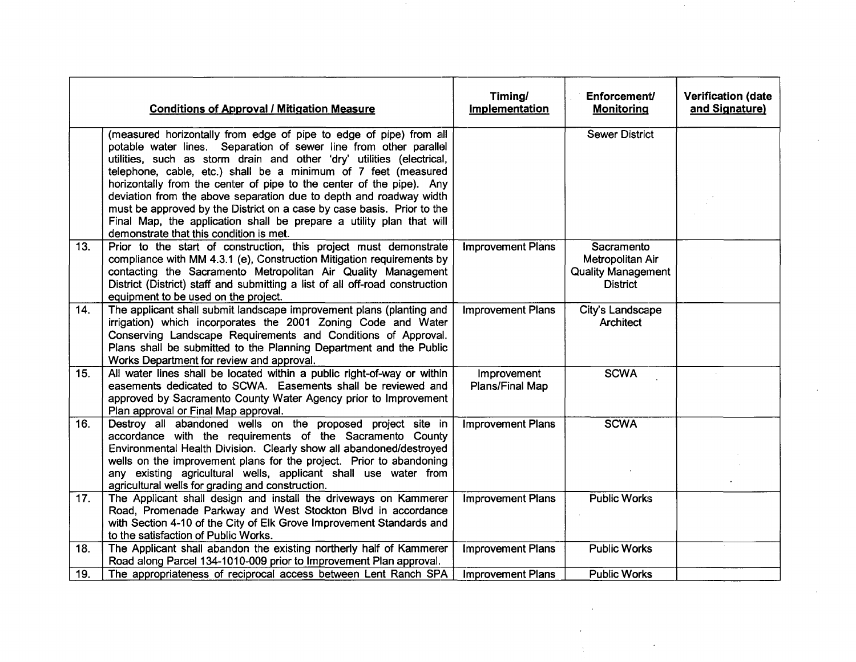|     | <b>Conditions of Approval / Mitigation Measure</b>                                                                                                                                                                                                                                                                                                                                                                                                                                                                                                                                                                            | Timing/<br>Implementation      | Enforcement/<br><b>Monitoring</b>                                              | <b>Verification (date</b><br>and Signature) |
|-----|-------------------------------------------------------------------------------------------------------------------------------------------------------------------------------------------------------------------------------------------------------------------------------------------------------------------------------------------------------------------------------------------------------------------------------------------------------------------------------------------------------------------------------------------------------------------------------------------------------------------------------|--------------------------------|--------------------------------------------------------------------------------|---------------------------------------------|
|     | (measured horizontally from edge of pipe to edge of pipe) from all<br>potable water lines. Separation of sewer line from other parallel<br>utilities, such as storm drain and other 'dry' utilities (electrical,<br>telephone, cable, etc.) shall be a minimum of 7 feet (measured<br>horizontally from the center of pipe to the center of the pipe). Any<br>deviation from the above separation due to depth and roadway width<br>must be approved by the District on a case by case basis. Prior to the<br>Final Map, the application shall be prepare a utility plan that will<br>demonstrate that this condition is met. |                                | <b>Sewer District</b>                                                          |                                             |
| 13. | Prior to the start of construction, this project must demonstrate<br>compliance with MM 4.3.1 (e), Construction Mitigation requirements by<br>contacting the Sacramento Metropolitan Air Quality Management<br>District (District) staff and submitting a list of all off-road construction<br>equipment to be used on the project.                                                                                                                                                                                                                                                                                           | <b>Improvement Plans</b>       | Sacramento<br>Metropolitan Air<br><b>Quality Management</b><br><b>District</b> |                                             |
| 14. | The applicant shall submit landscape improvement plans (planting and<br>irrigation) which incorporates the 2001 Zoning Code and Water<br>Conserving Landscape Requirements and Conditions of Approval.<br>Plans shall be submitted to the Planning Department and the Public<br>Works Department for review and approval.                                                                                                                                                                                                                                                                                                     | <b>Improvement Plans</b>       | City's Landscape<br>Architect                                                  |                                             |
| 15. | All water lines shall be located within a public right-of-way or within<br>easements dedicated to SCWA. Easements shall be reviewed and<br>approved by Sacramento County Water Agency prior to Improvement<br>Plan approval or Final Map approval.                                                                                                                                                                                                                                                                                                                                                                            | Improvement<br>Plans/Final Map | <b>SCWA</b>                                                                    |                                             |
| 16. | Destroy all abandoned wells on the proposed project site in<br>accordance with the requirements of the Sacramento County<br>Environmental Health Division. Clearly show all abandoned/destroyed<br>wells on the improvement plans for the project. Prior to abandoning<br>any existing agricultural wells, applicant shall use water from<br>agricultural wells for grading and construction.                                                                                                                                                                                                                                 | <b>Improvement Plans</b>       | <b>SCWA</b>                                                                    |                                             |
| 17. | The Applicant shall design and install the driveways on Kammerer<br>Road, Promenade Parkway and West Stockton Blvd in accordance<br>with Section 4-10 of the City of Elk Grove Improvement Standards and<br>to the satisfaction of Public Works.                                                                                                                                                                                                                                                                                                                                                                              | <b>Improvement Plans</b>       | <b>Public Works</b>                                                            |                                             |
| 18. | The Applicant shall abandon the existing northerly half of Kammerer<br>Road along Parcel 134-1010-009 prior to Improvement Plan approval.                                                                                                                                                                                                                                                                                                                                                                                                                                                                                     | <b>Improvement Plans</b>       | <b>Public Works</b>                                                            |                                             |
| 19. | The appropriateness of reciprocal access between Lent Ranch SPA                                                                                                                                                                                                                                                                                                                                                                                                                                                                                                                                                               | <b>Improvement Plans</b>       | <b>Public Works</b>                                                            |                                             |

 $\mathcal{L}^{\text{max}}_{\text{max}}$  ,  $\mathcal{L}^{\text{max}}_{\text{max}}$ 

 $\mathcal{L}^{\text{max}}_{\text{max}}$  ,  $\mathcal{L}^{\text{max}}_{\text{max}}$ 

 $\label{eq:2.1} \frac{1}{2} \int_{\mathbb{R}^3} \left| \frac{1}{2} \left( \frac{1}{2} \right) \right| \, \mathrm{d} \mu \, \mathrm{d} \mu \, \mathrm{d} \mu \, \mathrm{d} \mu \, \mathrm{d} \mu \, \mathrm{d} \mu \, \mathrm{d} \mu \, \mathrm{d} \mu \, \mathrm{d} \mu \, \mathrm{d} \mu \, \mathrm{d} \mu \, \mathrm{d} \mu \, \mathrm{d} \mu \, \mathrm{d} \mu \, \mathrm{d} \mu \, \mathrm{d} \mu \, \mathrm{d} \mu \, \mathrm{d} \mu \, \mathrm$ 

 $\mathcal{L}_{\text{max}}$ 

 $\mathcal{L}^{\text{max}}_{\text{max}}$ 

 $\sim 10^{11}$  km s  $^{-1}$ 

 $\sim 10^{11}$  km  $^{-1}$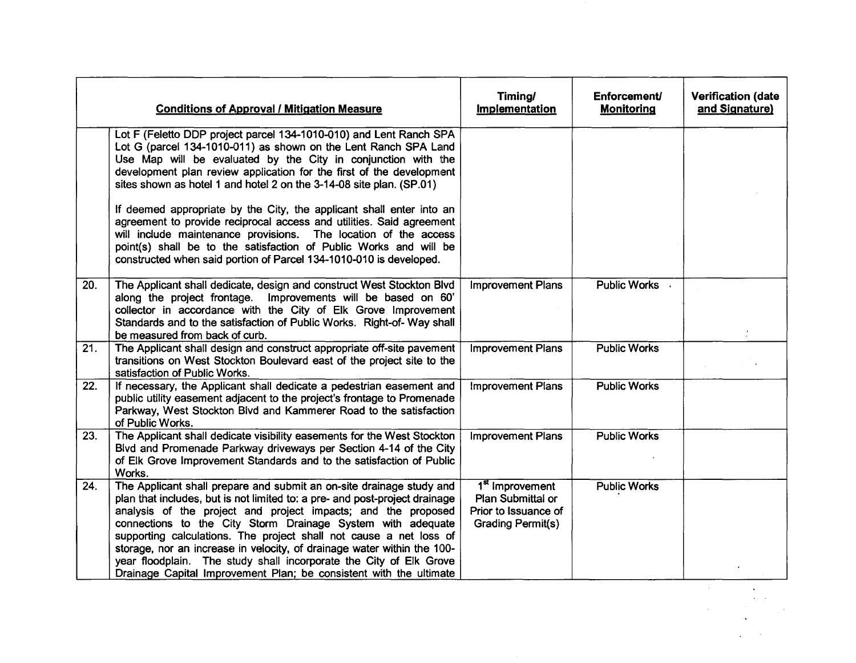|     | <b>Conditions of Approval / Mitigation Measure</b>                                                                                                                                                                                                                                                                                                                                                                                                                                                                                                                               | Timing/<br>Implementation                                                                            | <b>Enforcement/</b><br><b>Monitoring</b> | <b>Verification (date</b><br>and Signature) |
|-----|----------------------------------------------------------------------------------------------------------------------------------------------------------------------------------------------------------------------------------------------------------------------------------------------------------------------------------------------------------------------------------------------------------------------------------------------------------------------------------------------------------------------------------------------------------------------------------|------------------------------------------------------------------------------------------------------|------------------------------------------|---------------------------------------------|
|     | Lot F (Feletto DDP project parcel 134-1010-010) and Lent Ranch SPA<br>Lot G (parcel 134-1010-011) as shown on the Lent Ranch SPA Land<br>Use Map will be evaluated by the City in conjunction with the<br>development plan review application for the first of the development<br>sites shown as hotel 1 and hotel 2 on the 3-14-08 site plan. (SP.01)<br>If deemed appropriate by the City, the applicant shall enter into an                                                                                                                                                   |                                                                                                      |                                          |                                             |
|     | agreement to provide reciprocal access and utilities. Said agreement<br>will include maintenance provisions. The location of the access<br>point(s) shall be to the satisfaction of Public Works and will be<br>constructed when said portion of Parcel 134-1010-010 is developed.                                                                                                                                                                                                                                                                                               |                                                                                                      |                                          |                                             |
| 20. | The Applicant shall dedicate, design and construct West Stockton Blvd<br>along the project frontage.<br>Improvements will be based on 60'<br>collector in accordance with the City of Elk Grove Improvement<br>Standards and to the satisfaction of Public Works. Right-of- Way shall<br>be measured from back of curb.                                                                                                                                                                                                                                                          | <b>Improvement Plans</b>                                                                             | Public Works .                           |                                             |
| 21. | The Applicant shall design and construct appropriate off-site pavement<br>transitions on West Stockton Boulevard east of the project site to the<br>satisfaction of Public Works.                                                                                                                                                                                                                                                                                                                                                                                                | <b>Improvement Plans</b>                                                                             | <b>Public Works</b>                      |                                             |
| 22. | If necessary, the Applicant shall dedicate a pedestrian easement and<br>public utility easement adjacent to the project's frontage to Promenade<br>Parkway, West Stockton Blvd and Kammerer Road to the satisfaction<br>of Public Works.                                                                                                                                                                                                                                                                                                                                         | <b>Improvement Plans</b>                                                                             | <b>Public Works</b>                      |                                             |
| 23. | The Applicant shall dedicate visibility easements for the West Stockton<br>Blvd and Promenade Parkway driveways per Section 4-14 of the City<br>of Elk Grove Improvement Standards and to the satisfaction of Public<br>Works.                                                                                                                                                                                                                                                                                                                                                   | <b>Improvement Plans</b>                                                                             | <b>Public Works</b>                      |                                             |
| 24. | The Applicant shall prepare and submit an on-site drainage study and<br>plan that includes, but is not limited to: a pre- and post-project drainage<br>analysis of the project and project impacts; and the proposed<br>connections to the City Storm Drainage System with adequate<br>supporting calculations. The project shall not cause a net loss of<br>storage, nor an increase in velocity, of drainage water within the 100-<br>year floodplain. The study shall incorporate the City of Elk Grove<br>Drainage Capital Improvement Plan; be consistent with the ultimate | 1 <sup>st</sup> Improvement<br>Plan Submittal or<br>Prior to Issuance of<br><b>Grading Permit(s)</b> | <b>Public Works</b>                      |                                             |
|     |                                                                                                                                                                                                                                                                                                                                                                                                                                                                                                                                                                                  |                                                                                                      |                                          |                                             |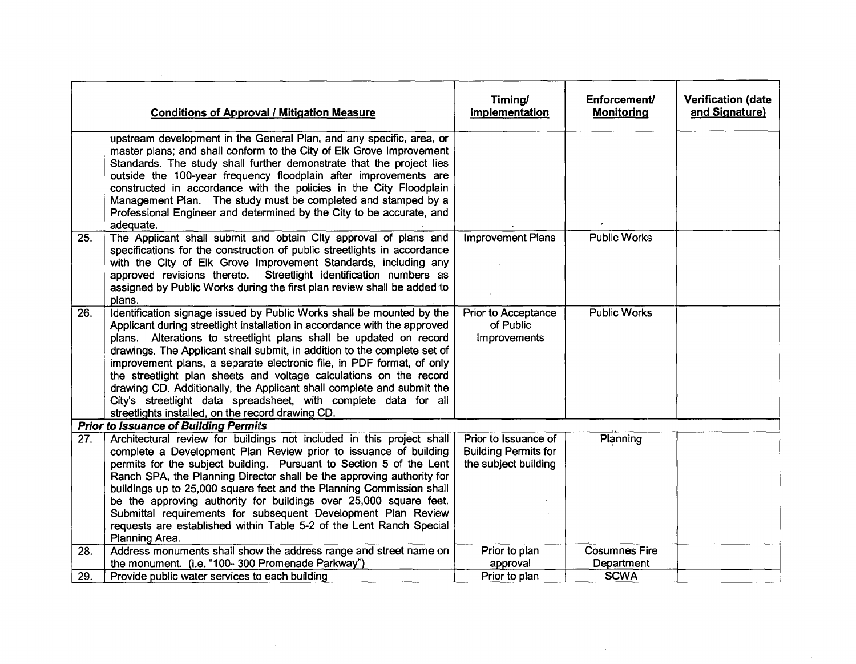|     | <b>Conditions of Approval / Mitigation Measure</b>                                                                                                                                                                                                                                                                                                                                                                                                                                                                                                                                                                                                   | Timing/<br><b>Implementation</b>                                            | Enforcement<br><b>Monitoring</b> | <b>Verification (date</b><br>and Signature) |
|-----|------------------------------------------------------------------------------------------------------------------------------------------------------------------------------------------------------------------------------------------------------------------------------------------------------------------------------------------------------------------------------------------------------------------------------------------------------------------------------------------------------------------------------------------------------------------------------------------------------------------------------------------------------|-----------------------------------------------------------------------------|----------------------------------|---------------------------------------------|
|     | upstream development in the General Plan, and any specific, area, or<br>master plans; and shall conform to the City of Elk Grove Improvement<br>Standards. The study shall further demonstrate that the project lies<br>outside the 100-year frequency floodplain after improvements are<br>constructed in accordance with the policies in the City Floodplain<br>Management Plan. The study must be completed and stamped by a<br>Professional Engineer and determined by the City to be accurate, and<br>adequate.                                                                                                                                 |                                                                             |                                  |                                             |
| 25. | The Applicant shall submit and obtain City approval of plans and<br>specifications for the construction of public streetlights in accordance<br>with the City of Elk Grove Improvement Standards, including any<br>approved revisions thereto. Streetlight identification numbers as<br>assigned by Public Works during the first plan review shall be added to<br>plans.                                                                                                                                                                                                                                                                            | <b>Improvement Plans</b>                                                    | <b>Public Works</b>              |                                             |
| 26. | Identification signage issued by Public Works shall be mounted by the<br>Applicant during streetlight installation in accordance with the approved<br>plans. Alterations to streetlight plans shall be updated on record<br>drawings. The Applicant shall submit, in addition to the complete set of<br>improvement plans, a separate electronic file, in PDF format, of only<br>the streetlight plan sheets and voltage calculations on the record<br>drawing CD. Additionally, the Applicant shall complete and submit the<br>City's streetlight data spreadsheet, with complete data for all<br>streetlights installed, on the record drawing CD. | Prior to Acceptance<br>of Public<br>Improvements                            | <b>Public Works</b>              |                                             |
|     | <b>Prior to Issuance of Building Permits</b>                                                                                                                                                                                                                                                                                                                                                                                                                                                                                                                                                                                                         |                                                                             |                                  |                                             |
| 27. | Architectural review for buildings not included in this project shall<br>complete a Development Plan Review prior to issuance of building<br>permits for the subject building. Pursuant to Section 5 of the Lent<br>Ranch SPA, the Planning Director shall be the approving authority for<br>buildings up to 25,000 square feet and the Planning Commission shall<br>be the approving authority for buildings over 25,000 square feet.<br>Submittal requirements for subsequent Development Plan Review<br>requests are established within Table 5-2 of the Lent Ranch Special<br>Planning Area.                                                     | Prior to Issuance of<br><b>Building Permits for</b><br>the subject building | Planning                         |                                             |
| 28. | Address monuments shall show the address range and street name on                                                                                                                                                                                                                                                                                                                                                                                                                                                                                                                                                                                    | Prior to plan                                                               | <b>Cosumnes Fire</b>             |                                             |
|     | the monument. (i.e. "100-300 Promenade Parkway")                                                                                                                                                                                                                                                                                                                                                                                                                                                                                                                                                                                                     | approval                                                                    | Department                       |                                             |
| 29. | Provide public water services to each building                                                                                                                                                                                                                                                                                                                                                                                                                                                                                                                                                                                                       | Prior to plan                                                               | <b>SCWA</b>                      |                                             |

 $\mathcal{L}(\mathcal{A})$  ,  $\mathcal{L}(\mathcal{A})$  ,  $\mathcal{L}(\mathcal{A})$ 

 $\mathcal{L}^{\text{max}}_{\text{max}}$  and  $\mathcal{L}^{\text{max}}_{\text{max}}$ 

 $\label{eq:2} \frac{1}{2} \int_{\mathbb{R}^3} \frac{1}{\sqrt{2}} \, \frac{1}{\sqrt{2}} \, \frac{1}{\sqrt{2}} \, \frac{1}{\sqrt{2}} \, \frac{1}{\sqrt{2}} \, \frac{1}{\sqrt{2}} \, \frac{1}{\sqrt{2}} \, \frac{1}{\sqrt{2}} \, \frac{1}{\sqrt{2}} \, \frac{1}{\sqrt{2}} \, \frac{1}{\sqrt{2}} \, \frac{1}{\sqrt{2}} \, \frac{1}{\sqrt{2}} \, \frac{1}{\sqrt{2}} \, \frac{1}{\sqrt{2}} \, \frac{1}{\sqrt{2}} \, \frac$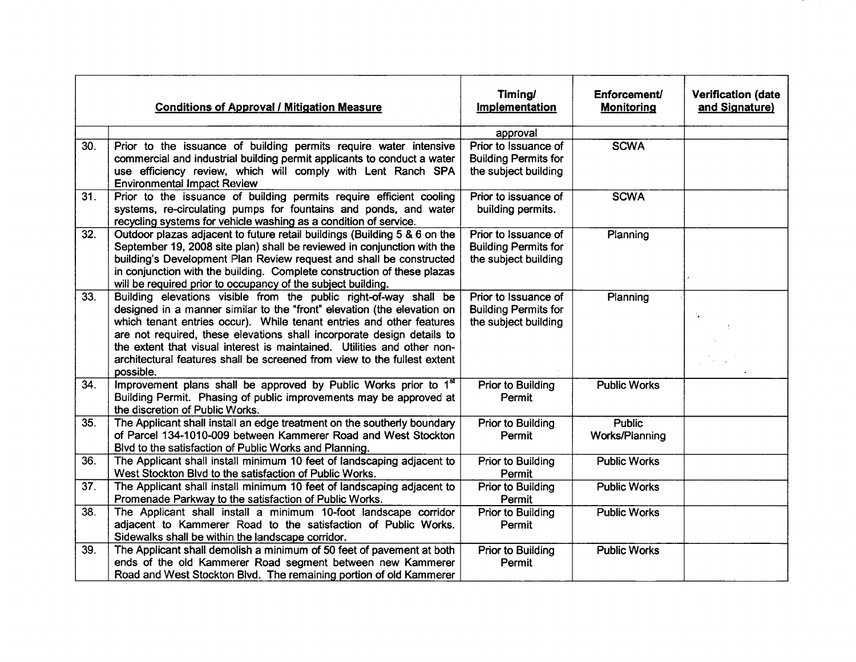|                   | <b>Conditions of Approval / Mitigation Measure</b>                                                                                                                                                                                                                                                                                                                                                                                                                 | Timing/<br>Implementation                                                   | Enforcement/<br><b>Monitoring</b> | <b>Verification (date</b><br>and Signature) |
|-------------------|--------------------------------------------------------------------------------------------------------------------------------------------------------------------------------------------------------------------------------------------------------------------------------------------------------------------------------------------------------------------------------------------------------------------------------------------------------------------|-----------------------------------------------------------------------------|-----------------------------------|---------------------------------------------|
|                   |                                                                                                                                                                                                                                                                                                                                                                                                                                                                    | approval                                                                    |                                   |                                             |
| 30.               | Prior to the issuance of building permits require water intensive<br>commercial and industrial building permit applicants to conduct a water<br>use efficiency review, which will comply with Lent Ranch SPA<br><b>Environmental Impact Review</b>                                                                                                                                                                                                                 | Prior to Issuance of<br><b>Building Permits for</b><br>the subject building | <b>SCWA</b>                       |                                             |
| 31.               | Prior to the issuance of building permits require efficient cooling<br>systems, re-circulating pumps for fountains and ponds, and water<br>recycling systems for vehicle washing as a condition of service.                                                                                                                                                                                                                                                        | Prior to issuance of<br>building permits.                                   | <b>SCWA</b>                       |                                             |
| 32.               | Outdoor plazas adjacent to future retail buildings (Building 5 & 6 on the<br>September 19, 2008 site plan) shall be reviewed in conjunction with the<br>building's Development Plan Review request and shall be constructed<br>in conjunction with the building. Complete construction of these plazas<br>will be required prior to occupancy of the subject building.                                                                                             | Prior to Issuance of<br><b>Building Permits for</b><br>the subject building | Planning                          |                                             |
| $\overline{33}$ . | Building elevations visible from the public right-of-way shall be<br>designed in a manner similar to the "front" elevation (the elevation on<br>which tenant entries occur). While tenant entries and other features<br>are not required, these elevations shall incorporate design details to<br>the extent that visual interest is maintained. Utilities and other non-<br>architectural features shall be screened from view to the fullest extent<br>possible. | Prior to Issuance of<br><b>Building Permits for</b><br>the subject building | Planning                          |                                             |
| 34.               | Improvement plans shall be approved by Public Works prior to 1 <sup>st</sup><br>Building Permit. Phasing of public improvements may be approved at<br>the discretion of Public Works.                                                                                                                                                                                                                                                                              | Prior to Building<br>Permit                                                 | <b>Public Works</b>               |                                             |
| 35.               | The Applicant shall install an edge treatment on the southerly boundary<br>of Parcel 134-1010-009 between Kammerer Road and West Stockton<br>Blvd to the satisfaction of Public Works and Planning.                                                                                                                                                                                                                                                                | Prior to Building<br>Permit                                                 | <b>Public</b><br>Works/Planning   |                                             |
| 36.               | The Applicant shall install minimum 10 feet of landscaping adjacent to<br>West Stockton Blvd to the satisfaction of Public Works.                                                                                                                                                                                                                                                                                                                                  | <b>Prior to Building</b><br>Permit                                          | <b>Public Works</b>               |                                             |
| 37.               | The Applicant shall install minimum 10 feet of landscaping adjacent to<br>Promenade Parkway to the satisfaction of Public Works.                                                                                                                                                                                                                                                                                                                                   | <b>Prior to Building</b><br>Permit                                          | <b>Public Works</b>               |                                             |
| 38.               | The Applicant shall install a minimum 10-foot landscape corridor<br>adjacent to Kammerer Road to the satisfaction of Public Works.<br>Sidewalks shall be within the landscape corridor.                                                                                                                                                                                                                                                                            | <b>Prior to Building</b><br>Permit                                          | <b>Public Works</b>               |                                             |
| 39.               | The Applicant shall demolish a minimum of 50 feet of pavement at both<br>ends of the old Kammerer Road segment between new Kammerer<br>Road and West Stockton Blvd. The remaining portion of old Kammerer                                                                                                                                                                                                                                                          | <b>Prior to Building</b><br>Permit                                          | <b>Public Works</b>               |                                             |

The Contract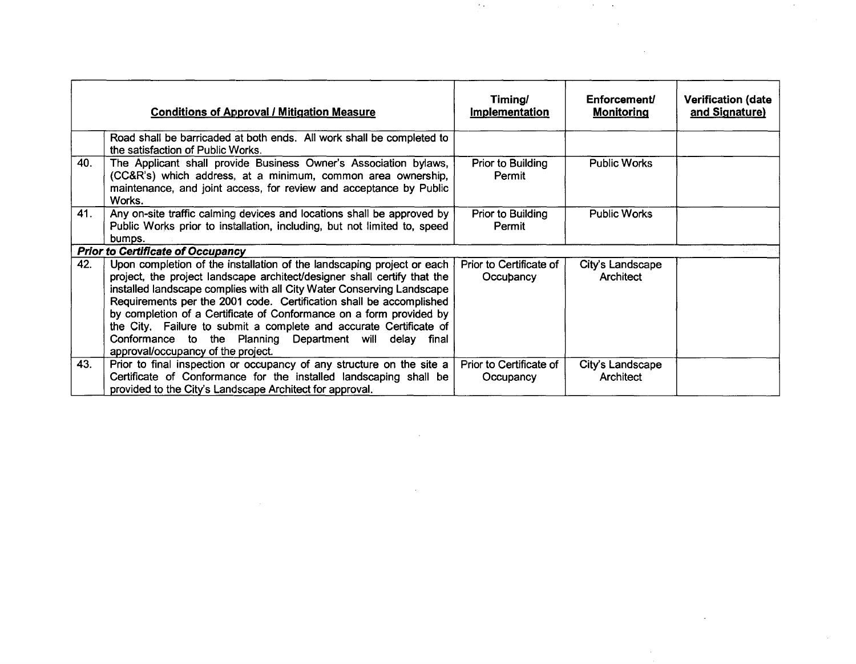|     | <b>Conditions of Approval / Mitigation Measure</b>                                                                                                                                                                                                                                                                                                                                                                                                                                                                                               | Timing/<br>Implementation            | Enforcement/<br><b>Monitoring</b> | <b>Verification (date</b><br>and Signature) |
|-----|--------------------------------------------------------------------------------------------------------------------------------------------------------------------------------------------------------------------------------------------------------------------------------------------------------------------------------------------------------------------------------------------------------------------------------------------------------------------------------------------------------------------------------------------------|--------------------------------------|-----------------------------------|---------------------------------------------|
|     | Road shall be barricaded at both ends. All work shall be completed to<br>the satisfaction of Public Works.                                                                                                                                                                                                                                                                                                                                                                                                                                       |                                      |                                   |                                             |
| 40. | The Applicant shall provide Business Owner's Association bylaws,<br>(CC&R's) which address, at a minimum, common area ownership,<br>maintenance, and joint access, for review and acceptance by Public<br>Works.                                                                                                                                                                                                                                                                                                                                 | Prior to Building<br>Permit          | <b>Public Works</b>               |                                             |
| 41. | Any on-site traffic calming devices and locations shall be approved by<br>Public Works prior to installation, including, but not limited to, speed<br>bumps.                                                                                                                                                                                                                                                                                                                                                                                     | Prior to Building<br>Permit          | <b>Public Works</b>               |                                             |
|     | <b>Prior to Certificate of Occupancy</b>                                                                                                                                                                                                                                                                                                                                                                                                                                                                                                         |                                      |                                   |                                             |
| 42. | Upon completion of the installation of the landscaping project or each<br>project, the project landscape architect/designer shall certify that the<br>installed landscape complies with all City Water Conserving Landscape<br>Requirements per the 2001 code. Certification shall be accomplished<br>by completion of a Certificate of Conformance on a form provided by<br>the City. Failure to submit a complete and accurate Certificate of<br>Conformance to the Planning Department will delay final<br>approval/occupancy of the project. | Prior to Certificate of<br>Occupancy | City's Landscape<br>Architect     |                                             |
| 43. | Prior to final inspection or occupancy of any structure on the site a<br>Certificate of Conformance for the installed landscaping shall be<br>provided to the City's Landscape Architect for approval.                                                                                                                                                                                                                                                                                                                                           | Prior to Certificate of<br>Occupancy | City's Landscape<br>Architect     |                                             |

 $\label{eq:2.1} \mathcal{L}(\mathcal{L}(\mathcal{L})) = \mathcal{L}(\mathcal{L}(\mathcal{L})) = \mathcal{L}(\mathcal{L}(\mathcal{L})) = \mathcal{L}(\mathcal{L}(\mathcal{L}))$ 

 $\mathcal{L}(\mathcal{L}(\mathcal{L}))$  and  $\mathcal{L}(\mathcal{L}(\mathcal{L}))$  . The contribution of  $\mathcal{L}(\mathcal{L})$ 

 $\mathcal{O}(10^{-10})$  . The contribution of the contribution of the contribution of the contribution of the contribution of the contribution of the contribution of the contribution of the contribution of the contribution of the

 $\label{eq:2.1} \frac{1}{\sqrt{2}}\int_{\mathbb{R}^3}\frac{1}{\sqrt{2}}\left(\frac{1}{\sqrt{2}}\right)^2\left(\frac{1}{\sqrt{2}}\right)^2\left(\frac{1}{\sqrt{2}}\right)^2\left(\frac{1}{\sqrt{2}}\right)^2\left(\frac{1}{\sqrt{2}}\right)^2\left(\frac{1}{\sqrt{2}}\right)^2.$ 

 $\label{eq:2.1} \frac{1}{\sqrt{2}}\int_{\mathbb{R}^3}\frac{1}{\sqrt{2}}\left(\frac{1}{\sqrt{2}}\right)^2\frac{1}{\sqrt{2}}\left(\frac{1}{\sqrt{2}}\right)^2\frac{1}{\sqrt{2}}\left(\frac{1}{\sqrt{2}}\right)^2\frac{1}{\sqrt{2}}\left(\frac{1}{\sqrt{2}}\right)^2\frac{1}{\sqrt{2}}\left(\frac{1}{\sqrt{2}}\right)^2\frac{1}{\sqrt{2}}\left(\frac{1}{\sqrt{2}}\right)^2\frac{1}{\sqrt{2}}\left(\frac{1}{\sqrt{2}}\right)^2\frac{1}{\sqrt{$ 

 $\mathcal{L}^{\text{max}}$ 

 $\label{eq:2.1} \frac{1}{\sqrt{2\pi}}\sum_{i=1}^n\frac{1}{\sqrt{2\pi}}\int_{\mathbb{R}^n}\frac{1}{\sqrt{2\pi}}\int_{\mathbb{R}^n}\frac{1}{\sqrt{2\pi}}\int_{\mathbb{R}^n}\frac{1}{\sqrt{2\pi}}\int_{\mathbb{R}^n}\frac{1}{\sqrt{2\pi}}\int_{\mathbb{R}^n}\frac{1}{\sqrt{2\pi}}\frac{1}{\sqrt{2\pi}}\int_{\mathbb{R}^n}\frac{1}{\sqrt{2\pi}}\frac{1}{\sqrt{2\pi}}\int_{\mathbb{R}^n}\frac{1}{$ 

 $\mathcal{L}^{\text{max}}_{\text{max}}$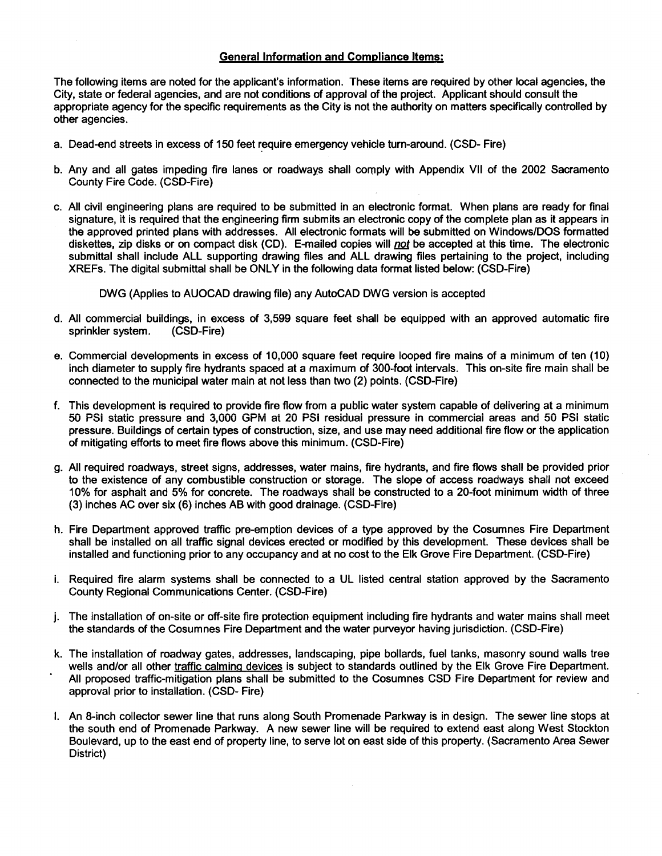#### General Information and Compliance Items:

The following items are noted for the applicant's information. These items are required by other local agencies, the City, state or federal agencies, and are not conditions of approval of the project. Applicant should consult the appropriate agency for the specific requirements as the City is not the authority on matters specifically controlled by other agencies.

- a. Dead-end streets in excess of 150 feet require emergency vehicle turn-around. (CSD- Fire)
- b. Any and all gates impeding fire lanes or roadways shall comply with Appendix VII of the 2002 Sacramento **County Fire Code. (CSD-Fire)**
- **c.** ,~II **civil engineering plans are required to be submitted in an electronic format. When plans are readyforfinal** signature, it is required that the engineering firm submits an electronic copy of the complete plan as it appears in the approved printed plans with addresses. All electronic formats will be submitted on Windows/DOS formatted diskettes, zip disks or on compact disk (CD). E-mailed copies will not be accepted at this time. The electronic submittal shall include ALL supporting drawing files and ALL drawing files pertaining to the project, including XREFs. The digital submittal shall be ONLY in the following data format listed below: (CSD-Fire)

DWG (Applies to AUOCAD drawing file) any AutoCAD DWG version is accepted

- d. All commercial buildings, in excess of 3,599 square feet shall be equipped with an approved automatic fire sprinkler system. (CSD-Fire)
- e. Commercial developments in excess of 10,000 square feet require looped fire mains of a minimum of ten (10) inch diameter to supply fire hydrants spaced at a maximum of 300-foot intervals. This on-site fire main shall be connected to the municipal water main at not less than two (2) points. (CSD-Fire)
- f. This development is required to provide fire flow from a public water system capable of delivering at a minimum 50 PSi static pressure and 3,000 GPM at 20 PSi residual pressure in commercial areas and 50 PSi static pressure. Buildings of certain types of construction, size, and use may need additional fire flow or the application of mitigating efforts to meet fire flows above this minimum. (CSD-Fire)
- g. All required roadways, street signs, addresses, water mains, fire hydrants, and fire flows shall be provided prior to the existence of any combustible construction or storage. The slope of access roadways shall not exceed 10% for asphalt and 5% for concrete. The roadways shall be constructed to a 20-foot minimum width of three (3) inches AC over six (6) inches AB with good drainage. (CSD-Fire)
- h. Fire Department approved traffic pre-emption devices of a type approved by the Cosumnes Fire Department shall be installed on all traffic signal devices erected or modified by this development. These devices shall be installed and functioning prior to any occupancy and at no cost to the Elk Grove Fire Department. (CSD-Fire)
- i. Required fire alarm systems shall be connected to a UL listed central station approved by the Sacramento County Regional Communications Center. (CSD-Fire)
- j. The installation of on-site or off-site fire protection equipment including fire hydrants and water mains shall meet the standards of the Cosumnes Fire Department and the water purveyor having jurisdiction. (CSD-Fire)
- k. The installation of roadway gates, addresses, landscaping, pipe bollards, fuel tanks, masonry sound walls tree wells and/or all other traffic calming devices is subject to standards outlined by the Elk Grove Fire Department. All proposed traffic-mitigation plans shall be submitted to the Cosumnes CSD Fire Department for review and approval prior to installation. (CSD- Fire)
- I. An 8-inch collector sewer line that runs along South Promenade Parkway is in design. The sewer line stops at the south end of Promenade Parkway. A new sewer line will be required to extend east along West Stockton Boulevard, up to the east end of property line, to serve lot on east side of this property. (Sacramento Area Sewer District)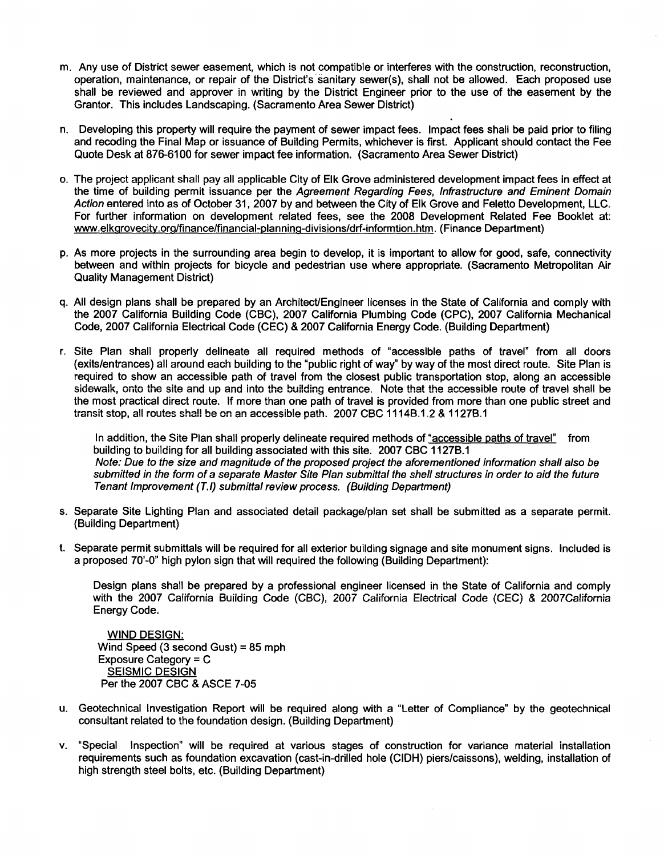- m. Any use of District sewer easement, which is not compatible or interferes with the construction, reconstruction, operation, maintenance, or repair of the District's sanitary sewer(s), shall not be allowed. Each proposed use shall be reviewed and approver in writing by the District Engineer prior to the use of the easement by the Grantor. This includes Landscaping. (Sacramento Area Sewer District)
- n. Developing this property will require the payment of sewer impact fees. Impact fees shall be paid prior to filing and recoding the Final Map or issuance of Building Permits, whichever is first. Applicant should contact the Fee Quote Desk at 876-6100 for sewer impact fee information. (Sacramento Area Sewer District)
- o. The project applicant shall pay all applicable City of Elk Grove administered development impact fees in effect at the time of building permit issuance per the Agreement Regarding Fees, Infrastructure and Eminent Domain Action entered into as of October 31, 2007 by and between the City of Elk Grove and Feletto Development, LLC. For further information on development related fees, see the 2008 Development Related Fee Booklet at: www.elkgrovecity.org/finance/financial-planning-divisions/drf-informtion.htm. (Finance Department)
- p. As more projects in the surrounding area begin to develop, it is important to allow for good, safe, connectivity between and within projects for bicycle and pedestrian use where appropriate. (Sacramento Metropolitan Air Quality Management District)
- q. All design plans shall be prepared by an Architect/Engineer licenses in the State of California and comply with the 2007 California Building Code (CBC), 2007 California Plumbing Code (CPC), 2007 California Mechanical Code, 2007 California Electrical Code (CEC) & 2007 California Energy Code. (Building Department)
- r. Site Plan shall properly delineate all required methods of "accessible paths of travel" from all doors (exits/entrances) all around each building to the "public right of way" by way of the most direct route. Site Plan is required to show an accessible path of travel from the closest public transportation stop, along an accessible **sidewalk, onto the site and up and into the building entrance. Note that the accessible route of travel shall be** the most practical direct route. If more than one path of travel is provided from more than one public street and transit stop, all routes shall be on an accessible path. 2007 CBC 1114B.1.2 & 1127B.1

In addition, the Site Plan shall properly delineate required methods of "accessible paths of travel" from building to building for all building associated with this site. 2007 CBC 1127B.1 Note: Due to the size and magnitude of the proposed project the aforementioned information shall also be submitted in the form of a separate Master Site Plan submittal the shell structures in order to aid the future Tenant Improvement (T.I) submittal review process. (BUilding Department)

- s. Separate Site Lighting Plan and associated detail package/plan set shall be submitted as a separate permit. (Building Department)
- t. Separate permit submittals will be required for all exterior building signage and site monument signs. Included is a proposed 70'-0" high pylon sign that will required the following (Building Department):

Design plans shall be prepared by a professional engineer licensed in the State of California and comply with the 2007 California Building Code (CBC), 2007 California Electrical Code (CEC) & 2007California Energy Code.

WIND DESIGN: Wind Speed (3 second Gust) =85 mph Exposure Category = C SEISMIC DESIGN Per the 2007 CBC & ASCE 7-05

- u. Geotechnical Investigation Report will be required along with a "Letter of Compliance" by the geotechnical consultant related to the foundation design. (Building Department)
- v. "Special Inspection" will be required at various stages of construction for variance material installation requirements such as foundation excavation (cast-in-drilled hole (CIDH) piers/caissons), welding, installation of high strength steel bolts, etc. (Building Department)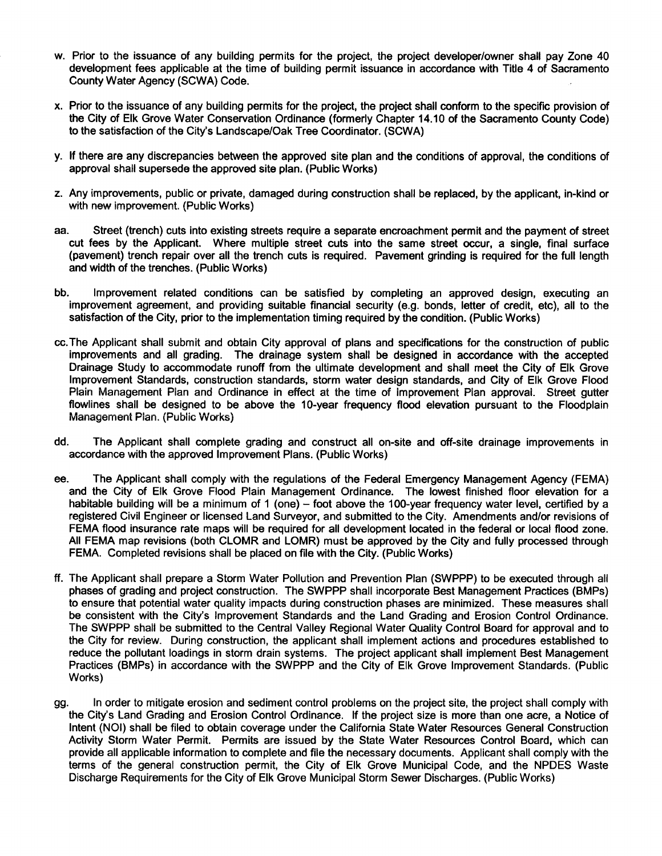- w. Prior to the issuance of any building permits for the project, the project developer/owner shall pay Zone 40 development fees applicable at the time of building permit issuance in accordance with Title 4 of Sacramento County Water Agency (SCWA) Code.
- x. Prior to the issuance of any building permits for the project, the project shall conform to the specific provision of the City of Elk Grove Water Conservation Ordinance (formerly Chapter 14.10 of the Sacramento County Code) to the satisfaction of the City's Landscape/Oak Tree Coordinator. (SCWA)
- y. If there are any discrepancies between the approved site plan and the conditions of approval, the conditions of approval shall supersede the approved site plan. (Public Works)
- z. Any improvements, public or private, damaged during construction shall be replaced, by the applicant, in-kind or with new improvement. (Public Works)
- aa. Street (trench) cuts into existing streets require a separate encroachment permit and the payment of street cut fees by the Applicant. Where multiple street cuts into the same street occur, a single, final surface (pavement) trench repair over all the trench cuts is required. Pavement grinding is required for the full length and width of the trenches. (Public Works)
- bb. Improvement related conditions can be satisfied by completing an approved design, executing an improvement agreement, and providing suitable financial security (e.g. bonds, letter of credit, etc), all to the satisfaction of the City, prior to the implementation timing required by the condition. (Public Works)
- cc.The Applicant shall submit and obtain City approval of plans and specifications for the construction of public improvements and all grading. The drainage system shall be designed in accordance with the accepted Drainage Study to accommodate runoff from the ultimate development and shall meet the City of Elk Grove Improvement Standards, construction standards, storm water design standards, and City of Elk Grove Flood Piain Management Pian and Ordinance in effect at the time of improvement Pian approval. Street gutter flowlines shall be designed to be above the 10-year frequency flood elevation pursuant to the Floodplain Management Plan. (Public Works)
- dd. The Applicant shall complete grading and construct all on-site and off-site drainage improvements in accordance with the approved Improvement Plans. (Public Works)
- ee. The Applicant shall comply with the regulations of the Federal Emergency Management Agency (FEMA) and the City of Elk Grove Flood Plain Management Ordinance. The lowest finished floor elevation for a habitable building will be a minimum of 1 (one) – foot above the 100-year frequency water level, certified by a registered Civil Engineer or licensed Land Surveyor, and submitted to the City. Amendments and/or revisions of FEMA flood insurance rate maps will be required for all development located in the federal or local flood zone. All FEMA map revisions (both CLOMR and LOMR) must be approved by the City and fully processed through FEMA. Completed revisions shall be placed on file with the City. (Public Works)
- ff. The Applicant shall prepare a Storm Water Pollution and Prevention Plan (SWPPP) to be executed through all phases of grading and project construction. The SWPPP shall incorporate Best Management Practices (BMPs) to ensure that potential water quality impacts during construction phases are minimized. These measures shall be consistent with the City's Improvement Standards and the Land Grading and Erosion Control Ordinance. The SWPPP shall be submitted to the Central Valley Regional Water Quality Control Board for approval and to the City for review. During construction, the applicant shall implement actions and procedures established to reduce the pollutant loadings in storm drain systems. The project applicant shall implement Best Management Practices (BMPs) in accordance with the SWPPP and the City of Elk Grove Improvement Standards. (Public Works)
- gg. In order to mitigate erosion and sediment control problems on the project site, the project shall comply with the City's Land Grading and Erosion Control Ordinance. If the project size is more than one acre, a Notice of Intent (NOI) shall be filed to obtain coverage under the California State Water Resources General Construction Activity Storm Water Permit. Permits are issued by the State Water Resources Control Board, which can provide all applicable information to complete and file the necessary documents. Applicant shall comply with the terms of the general construction permit, the City of Elk Grove Municipal Code, and the NPDES Waste Discharge Requirements for the City of Elk Grove Municipal Storm Sewer Discharges. (Public Works)